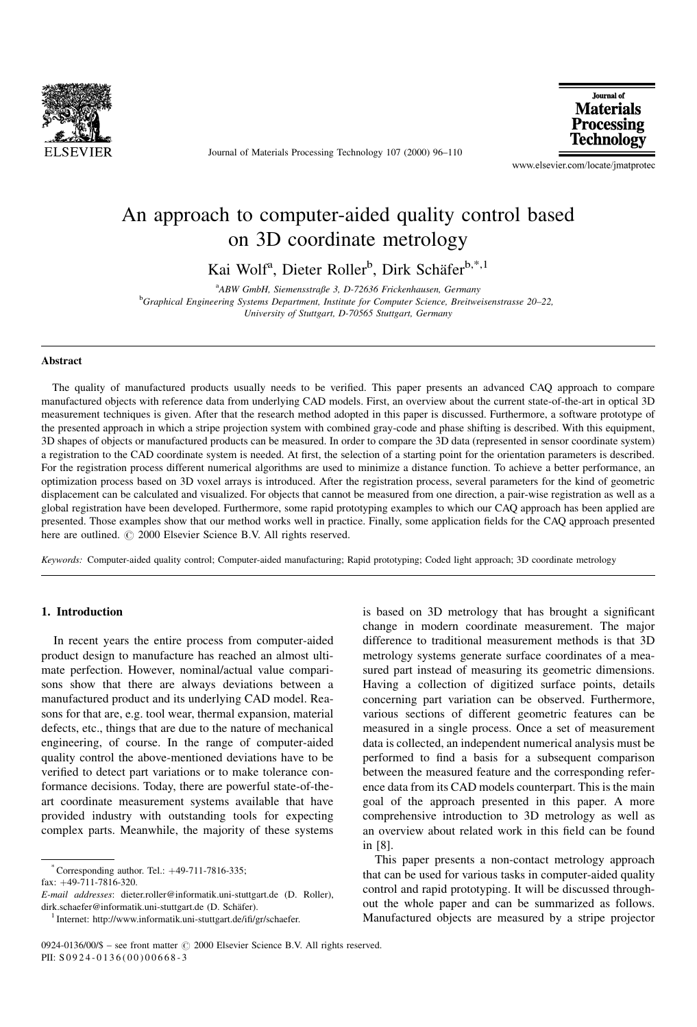

Journal of Materials Processing Technology 107 (2000) 96-110

Journal of **Materials** Processing Technology

www.elsevier.com/locate/jmatprotec

## An approach to computer-aided quality control based on 3D coordinate metrology

Kai Wolf<sup>a</sup>, Dieter Roller<sup>b</sup>, Dirk Schäfer<sup>b,\*,1</sup>

<sup>a</sup>ABW GmbH, Siemensstraße 3, D-72636 Frickenhausen, Germany <sup>b</sup>Graphical Engineering Systems Department, Institute for Computer Science, Breitweisenstrasse 20–22, University of Stuttgart, D-70565 Stuttgart, Germany

#### **Abstract**

The quality of manufactured products usually needs to be verified. This paper presents an advanced CAQ approach to compare manufactured objects with reference data from underlying CAD models. First, an overview about the current state-of-the-art in optical 3D measurement techniques is given. After that the research method adopted in this paper is discussed. Furthermore, a software prototype of the presented approach in which a stripe projection system with combined gray-code and phase shifting is described. With this equipment, 3D shapes of objects or manufactured products can be measured. In order to compare the 3D data (represented in sensor coordinate system) a registration to the CAD coordinate system is needed. At first, the selection of a starting point for the orientation parameters is described. For the registration process different numerical algorithms are used to minimize a distance function. To achieve a better performance, an optimization process based on 3D voxel arrays is introduced. After the registration process, several parameters for the kind of geometric displacement can be calculated and visualized. For objects that cannot be measured from one direction, a pair-wise registration as well as a global registration have been developed. Furthermore, some rapid prototyping examples to which our CAQ approach has been applied are presented. Those examples show that our method works well in practice. Finally, some application fields for the CAQ approach presented here are outlined.  $\odot$  2000 Elsevier Science B.V. All rights reserved.

Keywords: Computer-aided quality control; Computer-aided manufacturing; Rapid prototyping; Coded light approach; 3D coordinate metrology

### 1. Introduction

In recent years the entire process from computer-aided product design to manufacture has reached an almost ultimate perfection. However, nominal/actual value comparisons show that there are always deviations between a manufactured product and its underlying CAD model. Reasons for that are, e.g. tool wear, thermal expansion, material defects, etc., things that are due to the nature of mechanical engineering, of course. In the range of computer-aided quality control the above-mentioned deviations have to be verified to detect part variations or to make tolerance conformance decisions. Today, there are powerful state-of-theart coordinate measurement systems available that have provided industry with outstanding tools for expecting complex parts. Meanwhile, the majority of these systems

fax: 49-711-7816-320.

is based on 3D metrology that has brought a significant change in modern coordinate measurement. The major difference to traditional measurement methods is that 3D metrology systems generate surface coordinates of a measured part instead of measuring its geometric dimensions. Having a collection of digitized surface points, details concerning part variation can be observed. Furthermore, various sections of different geometric features can be measured in a single process. Once a set of measurement data is collected, an independent numerical analysis must be performed to find a basis for a subsequent comparison between the measured feature and the corresponding reference data from its CAD models counterpart. This is the main goal of the approach presented in this paper. A more comprehensive introduction to 3D metrology as well as an overview about related work in this field can be found in [8].

This paper presents a non-contact metrology approach that can be used for various tasks in computer-aided quality control and rapid prototyping. It will be discussed throughout the whole paper and can be summarized as follows. Manufactured objects are measured by a stripe projector

 $^*$ Corresponding author. Tel.:  $+49-711-7816-335$ ;

E-mail addresses: dieter.roller@informatik.uni-stuttgart.de (D. Roller), dirk.schaefer@informatik.uni-stuttgart.de (D. Schäfer).<br><sup>1</sup> Internet: http://www.informatik.uni-stuttgart.de/ifi/gr/schaefer.

 $0924-0136/00/\$$  - see front matter  $\odot$  2000 Elsevier Science B.V. All rights reserved. PII: S 0924-0136(00)00668-3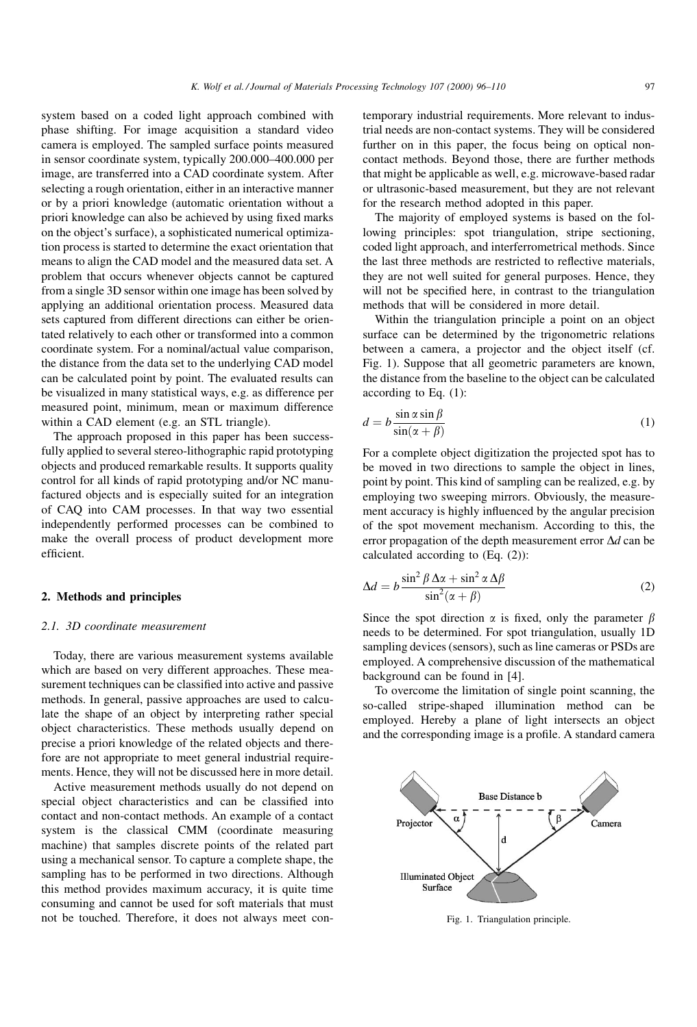system based on a coded light approach combined with phase shifting. For image acquisition a standard video camera is employed. The sampled surface points measured in sensor coordinate system, typically 200.000-400.000 per image, are transferred into a CAD coordinate system. After selecting a rough orientation, either in an interactive manner or by a priori knowledge (automatic orientation without a priori knowledge can also be achieved by using fixed marks on the object's surface), a sophisticated numerical optimization process is started to determine the exact orientation that means to align the CAD model and the measured data set. A problem that occurs whenever objects cannot be captured from a single 3D sensor within one image has been solved by applying an additional orientation process. Measured data sets captured from different directions can either be orientated relatively to each other or transformed into a common coordinate system. For a nominal/actual value comparison, the distance from the data set to the underlying CAD model can be calculated point by point. The evaluated results can be visualized in many statistical ways, e.g. as difference per measured point, minimum, mean or maximum difference within a CAD element (e.g. an STL triangle).

The approach proposed in this paper has been successfully applied to several stereo-lithographic rapid prototyping objects and produced remarkable results. It supports quality control for all kinds of rapid prototyping and/or NC manufactured objects and is especially suited for an integration of CAQ into CAM processes. In that way two essential independently performed processes can be combined to make the overall process of product development more efficient.

#### 2. Methods and principles

#### 2.1. 3D coordinate measurement

Today, there are various measurement systems available which are based on very different approaches. These measurement techniques can be classified into active and passive methods. In general, passive approaches are used to calculate the shape of an object by interpreting rather special object characteristics. These methods usually depend on precise a priori knowledge of the related objects and therefore are not appropriate to meet general industrial requirements. Hence, they will not be discussed here in more detail.

Active measurement methods usually do not depend on special object characteristics and can be classified into contact and non-contact methods. An example of a contact system is the classical CMM (coordinate measuring machine) that samples discrete points of the related part using a mechanical sensor. To capture a complete shape, the sampling has to be performed in two directions. Although this method provides maximum accuracy, it is quite time consuming and cannot be used for soft materials that must not be touched. Therefore, it does not always meet contemporary industrial requirements. More relevant to industrial needs are non-contact systems. They will be considered further on in this paper, the focus being on optical noncontact methods. Beyond those, there are further methods that might be applicable as well, e.g. microwave-based radar or ultrasonic-based measurement, but they are not relevant for the research method adopted in this paper.

The majority of employed systems is based on the following principles: spot triangulation, stripe sectioning, coded light approach, and interferrometrical methods. Since the last three methods are restricted to reflective materials, they are not well suited for general purposes. Hence, they will not be specified here, in contrast to the triangulation methods that will be considered in more detail.

Within the triangulation principle a point on an object surface can be determined by the trigonometric relations between a camera, a projector and the object itself (cf. Fig. 1). Suppose that all geometric parameters are known, the distance from the baseline to the object can be calculated according to Eq. (1):

$$
d = b \frac{\sin \alpha \sin \beta}{\sin(\alpha + \beta)}
$$
 (1)

For a complete object digitization the projected spot has to be moved in two directions to sample the object in lines, point by point. This kind of sampling can be realized, e.g. by employing two sweeping mirrors. Obviously, the measurement accuracy is highly influenced by the angular precision of the spot movement mechanism. According to this, the error propagation of the depth measurement error  $\Delta d$  can be calculated according to (Eq. (2)):

$$
\Delta d = b \frac{\sin^2 \beta \Delta \alpha + \sin^2 \alpha \Delta \beta}{\sin^2 (\alpha + \beta)}
$$
 (2)

Since the spot direction  $\alpha$  is fixed, only the parameter  $\beta$ needs to be determined. For spot triangulation, usually 1D sampling devices (sensors), such as line cameras or PSDs are employed. A comprehensive discussion of the mathematical background can be found in [4].

To overcome the limitation of single point scanning, the so-called stripe-shaped illumination method can be employed. Hereby a plane of light intersects an object and the corresponding image is a profile. A standard camera



Fig. 1. Triangulation principle.